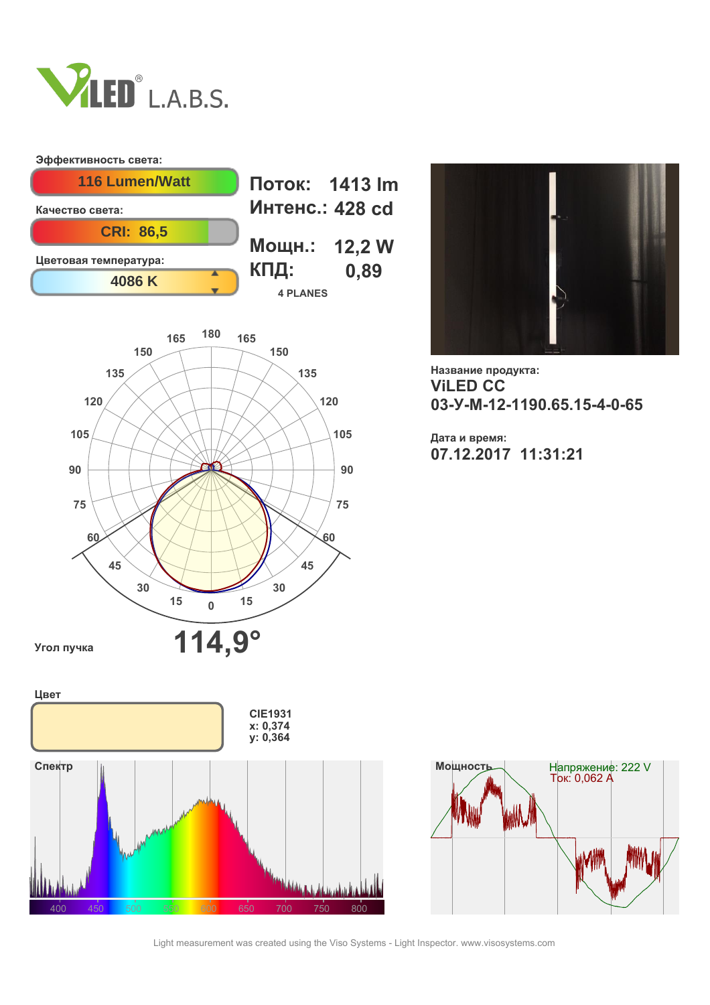

## **Эффективность света:**







**Название продукта: ViLED СС 03-У-М-12-1190.65.15-4-0-65**

**Дата и время: 07.12.2017 11:31:21**





Light measurement was created using the Viso Systems - Light Inspector. www.visosystems.com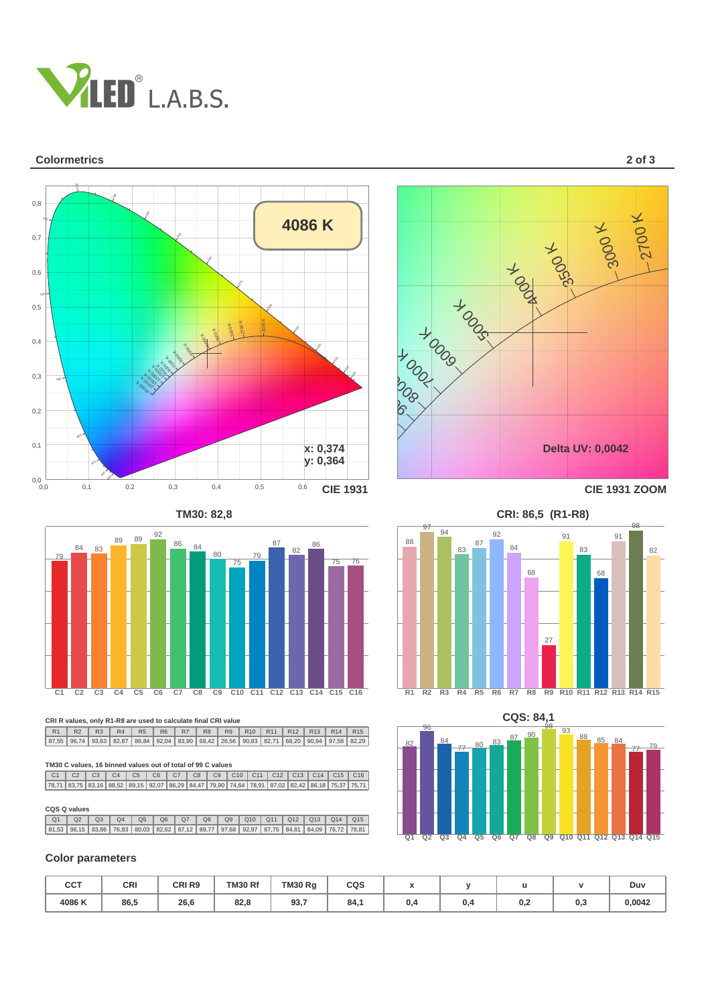

### **Colormetrics 2 of 3**





**CRI R values, only R1-R8 are used to calculate final CRI value**

R1 R2 R3 R4 R5 R6 R7 R8 R9 R10 R11 R12 R13 R14 R15<br>7,55 96,74 93,63 82,87 86,84 92,04 83,90 68,42 26,56 90,83 82,71 68,20 90,94 97,58 82,2 87,55 | 96,74 | 93,63 | 82,87 | 86,84 | 92,04 | 83,90 | 68,42 | 26,56 | 90,83 | 82,71 | 68,20 | 90,94 | 97,58 | 82,29

#### **TM30 C values, 16 binned values out of total of 99 C values**

 $\frac{1}{\sqrt{2}}$ C1 C2 C3 C4 C5 C6 C7 C8 C9 C10 C11 C12 C13 C14 C15 C16<br>6,71 83,75 83,16 88,52 89,15 92,07 86,29 84,47 79,90 74,64 78,91 87,02 82,42 86,18 75,37 75,7 78,71 | 83,75 | 83,16 | 88,52 | 89,15 | 92,07 | 86,29 | 84,47 | 79,90 | 74,64 | 78,91 | 87,02 | 82,42 | 86,18 | 75,37 | 75,71

#### **CQS Q values**

|  |  |  |  |  |  | Q1   Q2   Q3   Q4   Q5   Q6   Q7   Q8   Q9   Q10   Q11   Q12   Q13   Q14   Q15            |  |
|--|--|--|--|--|--|-------------------------------------------------------------------------------------------|--|
|  |  |  |  |  |  | 81,53 96,15 83,86 76,83 80,03 82,62 87,12 89,77 97,68 92,97 87,75 84,81 84,09 76,72 78,81 |  |

### **Color parameters**

| CCT   | CRI  | CRI <sub>R9</sub><br>_____ | TM30 Rf<br>$\sim$ $\sim$ $\sim$ | TM30 Rg     | CQS | $\overline{\phantom{a}}$ |     |     |     | Duv    |
|-------|------|----------------------------|---------------------------------|-------------|-----|--------------------------|-----|-----|-----|--------|
| 4086K | 86,5 | 26,6                       | 82.8                            | 937<br>JJ,1 | 84. | υ.4                      | u.- | 0,2 | 0,3 | 0,0042 |





**TM30: 82,8 CRI: 86,5 (R1-R8)**